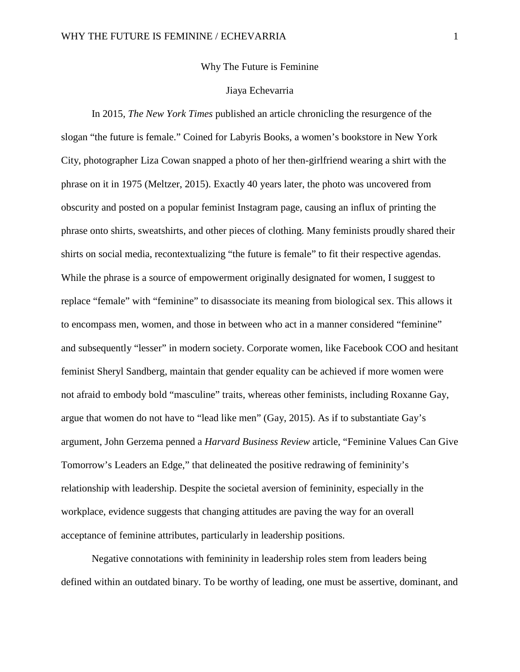## Why The Future is Feminine

## Jiaya Echevarria

In 2015, *The New York Times* published an article chronicling the resurgence of the slogan "the future is female." Coined for Labyris Books, a women's bookstore in New York City, photographer Liza Cowan snapped a photo of her then-girlfriend wearing a shirt with the phrase on it in 1975 (Meltzer, 2015). Exactly 40 years later, the photo was uncovered from obscurity and posted on a popular feminist Instagram page, causing an influx of printing the phrase onto shirts, sweatshirts, and other pieces of clothing. Many feminists proudly shared their shirts on social media, recontextualizing "the future is female" to fit their respective agendas. While the phrase is a source of empowerment originally designated for women, I suggest to replace "female" with "feminine" to disassociate its meaning from biological sex. This allows it to encompass men, women, and those in between who act in a manner considered "feminine" and subsequently "lesser" in modern society. Corporate women, like Facebook COO and hesitant feminist Sheryl Sandberg, maintain that gender equality can be achieved if more women were not afraid to embody bold "masculine" traits, whereas other feminists, including Roxanne Gay, argue that women do not have to "lead like men" (Gay, 2015). As if to substantiate Gay's argument, John Gerzema penned a *Harvard Business Review* article, "Feminine Values Can Give Tomorrow's Leaders an Edge," that delineated the positive redrawing of femininity's relationship with leadership. Despite the societal aversion of femininity, especially in the workplace, evidence suggests that changing attitudes are paving the way for an overall acceptance of feminine attributes, particularly in leadership positions.

Negative connotations with femininity in leadership roles stem from leaders being defined within an outdated binary. To be worthy of leading, one must be assertive, dominant, and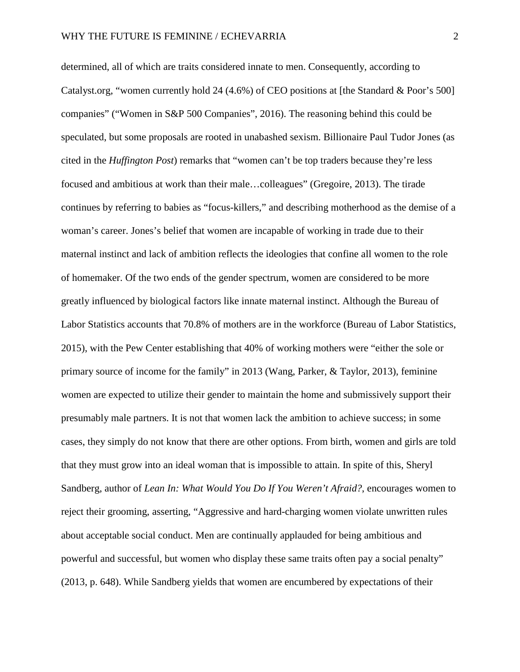determined, all of which are traits considered innate to men. Consequently, according to Catalyst.org, "women currently hold 24  $(4.6%)$  of CEO positions at [the Standard & Poor's 500] companies" ("Women in S&P 500 Companies", 2016). The reasoning behind this could be speculated, but some proposals are rooted in unabashed sexism. Billionaire Paul Tudor Jones (as cited in the *Huffington Post*) remarks that "women can't be top traders because they're less focused and ambitious at work than their male…colleagues" (Gregoire, 2013). The tirade continues by referring to babies as "focus-killers," and describing motherhood as the demise of a woman's career. Jones's belief that women are incapable of working in trade due to their maternal instinct and lack of ambition reflects the ideologies that confine all women to the role of homemaker. Of the two ends of the gender spectrum, women are considered to be more greatly influenced by biological factors like innate maternal instinct. Although the Bureau of Labor Statistics accounts that 70.8% of mothers are in the workforce (Bureau of Labor Statistics, 2015), with the Pew Center establishing that 40% of working mothers were "either the sole or primary source of income for the family" in 2013 (Wang, Parker, & Taylor, 2013), feminine women are expected to utilize their gender to maintain the home and submissively support their presumably male partners. It is not that women lack the ambition to achieve success; in some cases, they simply do not know that there are other options. From birth, women and girls are told that they must grow into an ideal woman that is impossible to attain. In spite of this, Sheryl Sandberg, author of *Lean In: What Would You Do If You Weren't Afraid?*, encourages women to reject their grooming, asserting, "Aggressive and hard-charging women violate unwritten rules about acceptable social conduct. Men are continually applauded for being ambitious and powerful and successful, but women who display these same traits often pay a social penalty" (2013, p. 648). While Sandberg yields that women are encumbered by expectations of their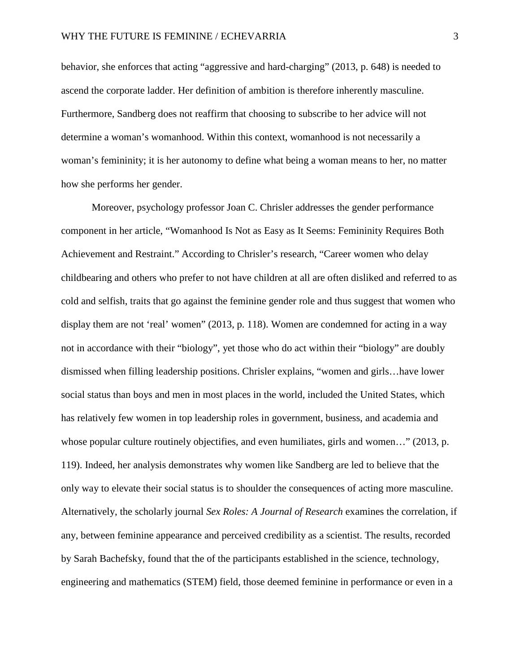behavior, she enforces that acting "aggressive and hard-charging" (2013, p. 648) is needed to ascend the corporate ladder. Her definition of ambition is therefore inherently masculine. Furthermore, Sandberg does not reaffirm that choosing to subscribe to her advice will not determine a woman's womanhood. Within this context, womanhood is not necessarily a woman's femininity; it is her autonomy to define what being a woman means to her, no matter how she performs her gender.

Moreover, psychology professor Joan C. Chrisler addresses the gender performance component in her article, "Womanhood Is Not as Easy as It Seems: Femininity Requires Both Achievement and Restraint." According to Chrisler's research, "Career women who delay childbearing and others who prefer to not have children at all are often disliked and referred to as cold and selfish, traits that go against the feminine gender role and thus suggest that women who display them are not 'real' women'' (2013, p. 118). Women are condemned for acting in a way not in accordance with their "biology", yet those who do act within their "biology" are doubly dismissed when filling leadership positions. Chrisler explains, "women and girls…have lower social status than boys and men in most places in the world, included the United States, which has relatively few women in top leadership roles in government, business, and academia and whose popular culture routinely objectifies, and even humiliates, girls and women..." (2013, p. 119). Indeed, her analysis demonstrates why women like Sandberg are led to believe that the only way to elevate their social status is to shoulder the consequences of acting more masculine. Alternatively, the scholarly journal *Sex Roles: A Journal of Research* examines the correlation, if any, between feminine appearance and perceived credibility as a scientist. The results, recorded by Sarah Bachefsky, found that the of the participants established in the science, technology, engineering and mathematics (STEM) field, those deemed feminine in performance or even in a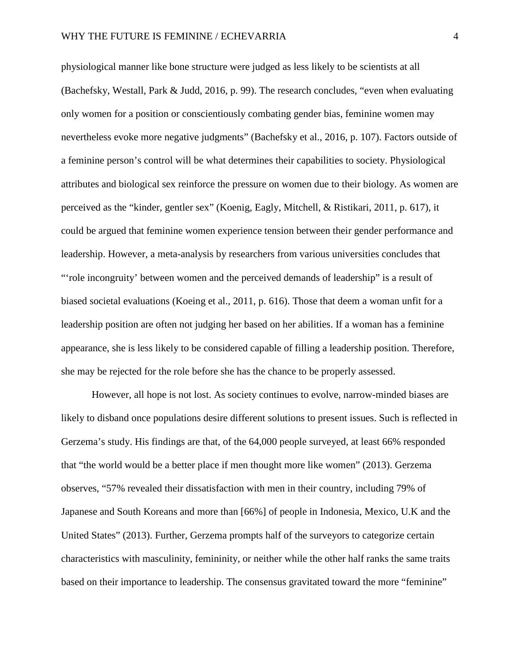physiological manner like bone structure were judged as less likely to be scientists at all (Bachefsky, Westall, Park & Judd, 2016, p. 99). The research concludes, "even when evaluating only women for a position or conscientiously combating gender bias, feminine women may nevertheless evoke more negative judgments" (Bachefsky et al., 2016, p. 107). Factors outside of a feminine person's control will be what determines their capabilities to society. Physiological attributes and biological sex reinforce the pressure on women due to their biology. As women are perceived as the "kinder, gentler sex" (Koenig, Eagly, Mitchell, & Ristikari, 2011, p. 617), it could be argued that feminine women experience tension between their gender performance and leadership. However, a meta-analysis by researchers from various universities concludes that "'role incongruity' between women and the perceived demands of leadership" is a result of biased societal evaluations (Koeing et al., 2011, p. 616). Those that deem a woman unfit for a leadership position are often not judging her based on her abilities. If a woman has a feminine appearance, she is less likely to be considered capable of filling a leadership position. Therefore, she may be rejected for the role before she has the chance to be properly assessed.

However, all hope is not lost. As society continues to evolve, narrow-minded biases are likely to disband once populations desire different solutions to present issues. Such is reflected in Gerzema's study. His findings are that, of the 64,000 people surveyed, at least 66% responded that "the world would be a better place if men thought more like women" (2013). Gerzema observes, "57% revealed their dissatisfaction with men in their country, including 79% of Japanese and South Koreans and more than [66%] of people in Indonesia, Mexico, U.K and the United States" (2013). Further, Gerzema prompts half of the surveyors to categorize certain characteristics with masculinity, femininity, or neither while the other half ranks the same traits based on their importance to leadership. The consensus gravitated toward the more "feminine"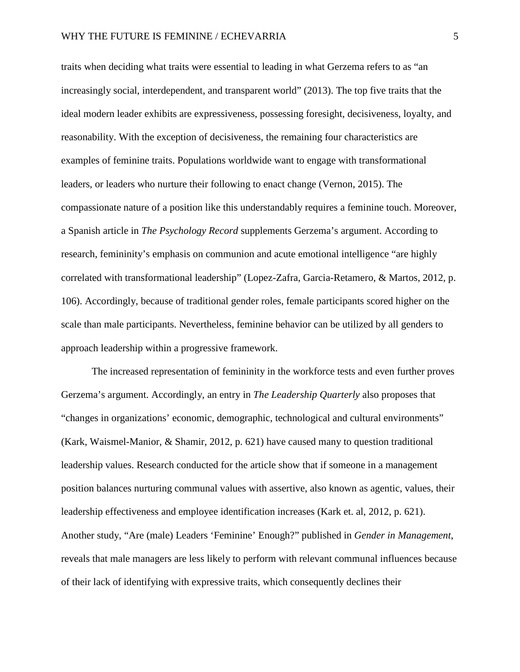traits when deciding what traits were essential to leading in what Gerzema refers to as "an increasingly social, interdependent, and transparent world" (2013). The top five traits that the ideal modern leader exhibits are expressiveness, possessing foresight, decisiveness, loyalty, and reasonability. With the exception of decisiveness, the remaining four characteristics are examples of feminine traits. Populations worldwide want to engage with transformational leaders, or leaders who nurture their following to enact change (Vernon, 2015). The compassionate nature of a position like this understandably requires a feminine touch. Moreover, a Spanish article in *The Psychology Record* supplements Gerzema's argument. According to research, femininity's emphasis on communion and acute emotional intelligence "are highly correlated with transformational leadership" (Lopez-Zafra, Garcia-Retamero, & Martos, 2012, p. 106). Accordingly, because of traditional gender roles, female participants scored higher on the scale than male participants. Nevertheless, feminine behavior can be utilized by all genders to approach leadership within a progressive framework.

The increased representation of femininity in the workforce tests and even further proves Gerzema's argument. Accordingly, an entry in *The Leadership Quarterly* also proposes that "changes in organizations' economic, demographic, technological and cultural environments" (Kark, Waismel-Manior, & Shamir, 2012, p. 621) have caused many to question traditional leadership values. Research conducted for the article show that if someone in a management position balances nurturing communal values with assertive, also known as agentic, values, their leadership effectiveness and employee identification increases (Kark et. al, 2012, p. 621). Another study, "Are (male) Leaders 'Feminine' Enough?" published in *Gender in Management*, reveals that male managers are less likely to perform with relevant communal influences because of their lack of identifying with expressive traits, which consequently declines their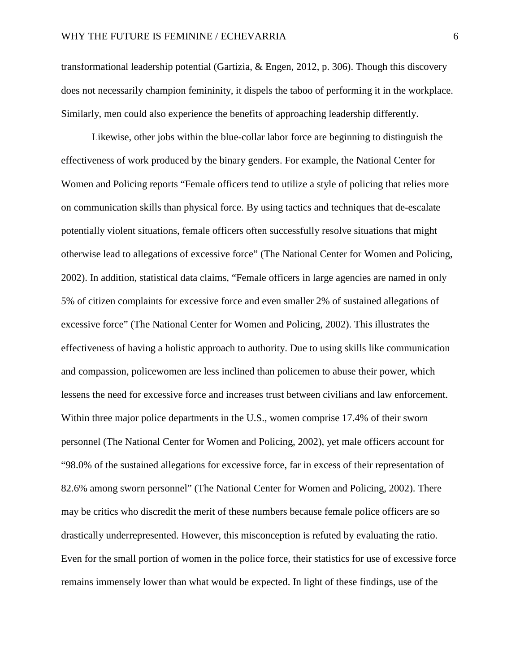transformational leadership potential (Gartizia, & Engen, 2012, p. 306). Though this discovery does not necessarily champion femininity, it dispels the taboo of performing it in the workplace. Similarly, men could also experience the benefits of approaching leadership differently.

Likewise, other jobs within the blue-collar labor force are beginning to distinguish the effectiveness of work produced by the binary genders. For example, the National Center for Women and Policing reports "Female officers tend to utilize a style of policing that relies more on communication skills than physical force. By using tactics and techniques that de-escalate potentially violent situations, female officers often successfully resolve situations that might otherwise lead to allegations of excessive force" (The National Center for Women and Policing, 2002). In addition, statistical data claims, "Female officers in large agencies are named in only 5% of citizen complaints for excessive force and even smaller 2% of sustained allegations of excessive force" (The National Center for Women and Policing, 2002). This illustrates the effectiveness of having a holistic approach to authority. Due to using skills like communication and compassion, policewomen are less inclined than policemen to abuse their power, which lessens the need for excessive force and increases trust between civilians and law enforcement. Within three major police departments in the U.S., women comprise 17.4% of their sworn personnel (The National Center for Women and Policing, 2002), yet male officers account for "98.0% of the sustained allegations for excessive force, far in excess of their representation of 82.6% among sworn personnel" (The National Center for Women and Policing, 2002). There may be critics who discredit the merit of these numbers because female police officers are so drastically underrepresented. However, this misconception is refuted by evaluating the ratio. Even for the small portion of women in the police force, their statistics for use of excessive force remains immensely lower than what would be expected. In light of these findings, use of the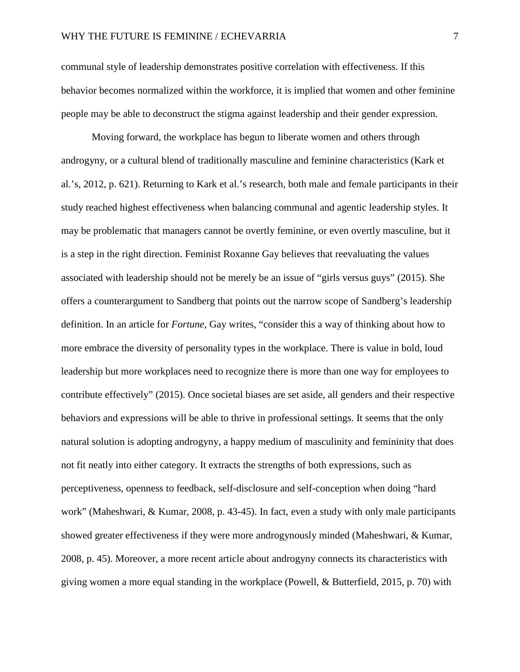communal style of leadership demonstrates positive correlation with effectiveness. If this behavior becomes normalized within the workforce, it is implied that women and other feminine people may be able to deconstruct the stigma against leadership and their gender expression.

Moving forward, the workplace has begun to liberate women and others through androgyny, or a cultural blend of traditionally masculine and feminine characteristics (Kark et al.'s, 2012, p. 621). Returning to Kark et al.'s research, both male and female participants in their study reached highest effectiveness when balancing communal and agentic leadership styles. It may be problematic that managers cannot be overtly feminine, or even overtly masculine, but it is a step in the right direction. Feminist Roxanne Gay believes that reevaluating the values associated with leadership should not be merely be an issue of "girls versus guys" (2015). She offers a counterargument to Sandberg that points out the narrow scope of Sandberg's leadership definition. In an article for *Fortune*, Gay writes, "consider this a way of thinking about how to more embrace the diversity of personality types in the workplace. There is value in bold, loud leadership but more workplaces need to recognize there is more than one way for employees to contribute effectively" (2015). Once societal biases are set aside, all genders and their respective behaviors and expressions will be able to thrive in professional settings. It seems that the only natural solution is adopting androgyny, a happy medium of masculinity and femininity that does not fit neatly into either category. It extracts the strengths of both expressions, such as perceptiveness, openness to feedback, self-disclosure and self-conception when doing "hard work" (Maheshwari, & Kumar, 2008, p. 43-45). In fact, even a study with only male participants showed greater effectiveness if they were more androgynously minded (Maheshwari, & Kumar, 2008, p. 45). Moreover, a more recent article about androgyny connects its characteristics with giving women a more equal standing in the workplace (Powell, & Butterfield, 2015, p. 70) with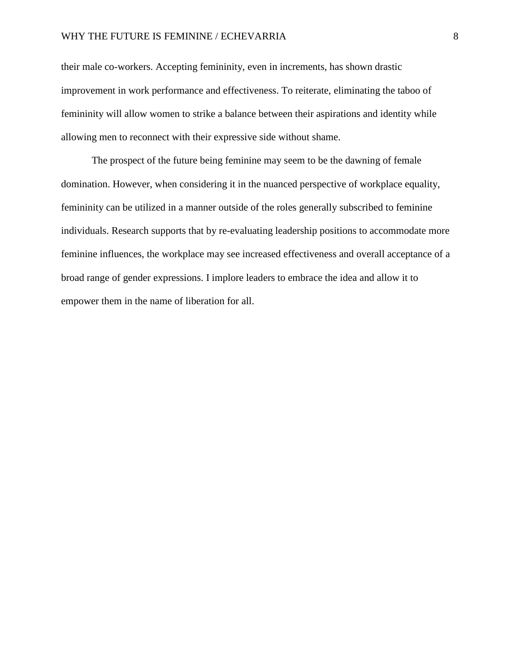their male co-workers. Accepting femininity, even in increments, has shown drastic improvement in work performance and effectiveness. To reiterate, eliminating the taboo of femininity will allow women to strike a balance between their aspirations and identity while allowing men to reconnect with their expressive side without shame.

The prospect of the future being feminine may seem to be the dawning of female domination. However, when considering it in the nuanced perspective of workplace equality, femininity can be utilized in a manner outside of the roles generally subscribed to feminine individuals. Research supports that by re-evaluating leadership positions to accommodate more feminine influences, the workplace may see increased effectiveness and overall acceptance of a broad range of gender expressions. I implore leaders to embrace the idea and allow it to empower them in the name of liberation for all.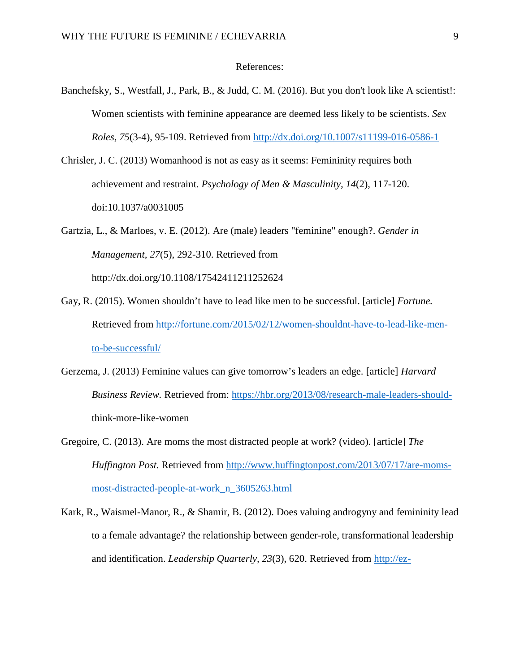## References:

- Banchefsky, S., Westfall, J., Park, B., & Judd, C. M. (2016). But you don't look like A scientist!: Women scientists with feminine appearance are deemed less likely to be scientists. *Sex Roles, 75*(3-4), 95-109. Retrieved from<http://dx.doi.org/10.1007/s11199-016-0586-1>
- Chrisler, J. C. (2013) Womanhood is not as easy as it seems: Femininity requires both achievement and restraint. *Psychology of Men & Masculinity, 14*(2), 117-120. doi:10.1037/a0031005
- Gartzia, L., & Marloes, v. E. (2012). Are (male) leaders "feminine" enough?. *Gender in Management, 27*(5), 292-310. Retrieved from http://dx.doi.org/10.1108/17542411211252624
- Gay, R. (2015). Women shouldn't have to lead like men to be successful. [article] *Fortune.*  Retrieved from [http://fortune.com/2015/02/12/women-shouldnt-have-to-lead-like-men](http://fortune.com/2015/02/12/women-shouldnt-have-to-lead-like-men-to-be-successful/)[to-be-successful/](http://fortune.com/2015/02/12/women-shouldnt-have-to-lead-like-men-to-be-successful/)
- Gerzema, J. (2013) Feminine values can give tomorrow's leaders an edge. [article] *Harvard Business Review.* Retrieved from: [https://hbr.org/2013/08/research-male-leaders-should](https://hbr.org/2013/08/research-male-leaders-should-)think-more-like-women
- Gregoire, C. (2013). Are moms the most distracted people at work? (video). [article] *The Huffington Post.* Retrieved from [http://www.huffingtonpost.com/2013/07/17/are-moms](http://www.huffingtonpost.com/2013/07/17/are-moms-most-distracted-people-at-work_n_3605263.html)[most-distracted-people-at-work\\_n\\_3605263.html](http://www.huffingtonpost.com/2013/07/17/are-moms-most-distracted-people-at-work_n_3605263.html)
- Kark, R., Waismel-Manor, R., & Shamir, B. (2012). Does valuing androgyny and femininity lead to a female advantage? the relationship between gender-role, transformational leadership and identification. *Leadership Quarterly, 23*(3), 620. Retrieved from [http://ez-](http://ez-proxy.methodist.edu:2048/login?url=http://search.proquest.com/docview/1010260048?accountid=12408)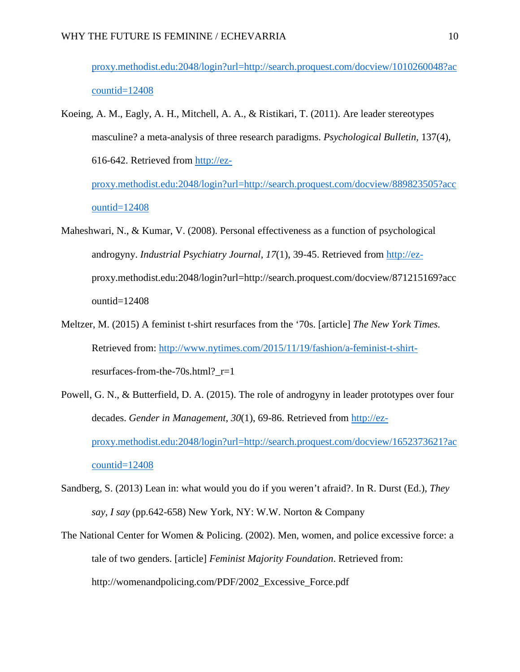[proxy.methodist.edu:2048/login?url=http://search.proquest.com/docview/1010260048?ac](http://ez-proxy.methodist.edu:2048/login?url=http://search.proquest.com/docview/1010260048?accountid=12408) [countid=12408](http://ez-proxy.methodist.edu:2048/login?url=http://search.proquest.com/docview/1010260048?accountid=12408)

Koeing, A. M., Eagly, A. H., Mitchell, A. A., & Ristikari, T. (2011). Are leader stereotypes masculine? a meta-analysis of three research paradigms. *Psychological Bulletin,* 137(4), 616-642. Retrieved from [http://ez](http://ez-proxy.methodist.edu:2048/login?url=http://search.proquest.com/docview/889823505?accountid=12408)[proxy.methodist.edu:2048/login?url=http://search.proquest.com/docview/889823505?acc](http://ez-proxy.methodist.edu:2048/login?url=http://search.proquest.com/docview/889823505?accountid=12408)

[ountid=12408](http://ez-proxy.methodist.edu:2048/login?url=http://search.proquest.com/docview/889823505?accountid=12408)

- Maheshwari, N., & Kumar, V. (2008). Personal effectiveness as a function of psychological androgyny. *Industrial Psychiatry Journal, 17*(1), 39-45. Retrieved from [http://ez](http://ez-/)proxy.methodist.edu:2048/login?url=http://search.proquest.com/docview/871215169?acc ountid=12408
- Meltzer, M. (2015) A feminist t-shirt resurfaces from the '70s. [article] *The New York Times.*  Retrieved from: [http://www.nytimes.com/2015/11/19/fashion/a-feminist-t-shirt](http://www.nytimes.com/2015/11/19/fashion/a-feminist-t-shirt-)resurfaces-from-the-70s.html?\_r=1
- Powell, G. N., & Butterfield, D. A. (2015). The role of androgyny in leader prototypes over four decades. *Gender in Management, 30*(1), 69-86. Retrieved from [http://ez](http://ez-proxy.methodist.edu:2048/login?url=http://search.proquest.com/docview/1652373621?accountid=12408)[proxy.methodist.edu:2048/login?url=http://search.proquest.com/docview/1652373621?ac](http://ez-proxy.methodist.edu:2048/login?url=http://search.proquest.com/docview/1652373621?accountid=12408) [countid=12408](http://ez-proxy.methodist.edu:2048/login?url=http://search.proquest.com/docview/1652373621?accountid=12408)
- Sandberg, S. (2013) Lean in: what would you do if you weren't afraid?. In R. Durst (Ed.), *They say, I say* (pp.642-658) New York, NY: W.W. Norton & Company
- The National Center for Women & Policing. (2002). Men, women, and police excessive force: a tale of two genders. [article] *Feminist Majority Foundation*. Retrieved from: http://womenandpolicing.com/PDF/2002\_Excessive\_Force.pdf